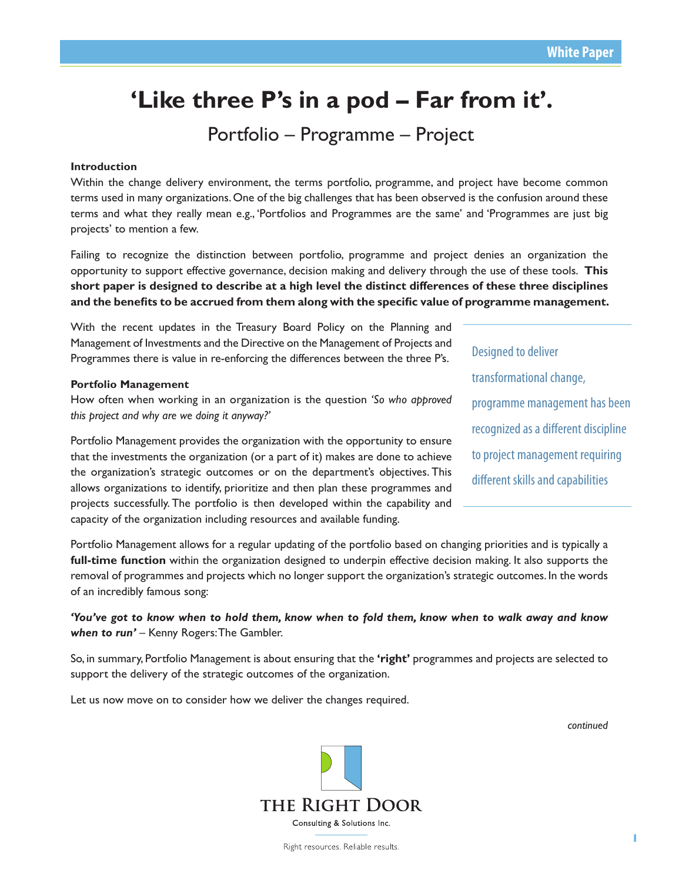# **'Like three P's in a pod – Far from it'.**

Portfolio – Programme – Project

#### **Introduction**

Within the change delivery environment, the terms portfolio, programme, and project have become common terms used in many organizations. One of the big challenges that has been observed is the confusion around these terms and what they really mean e.g., 'Portfolios and Programmes are the same' and 'Programmes are just big projects' to mention a few.

Failing to recognize the distinction between portfolio, programme and project denies an organization the opportunity to support effective governance, decision making and delivery through the use of these tools. **This short paper is designed to describe at a high level the distinct differences of these three disciplines and the benefits to be accrued from them along with the specific value of programme management.** 

With the recent updates in the Treasury Board Policy on the Planning and Management of Investments and the Directive on the Management of Projects and Programmes there is value in re-enforcing the differences between the three P's.

#### **Portfolio Management**

How often when working in an organization is the question *'So who approved this project and why are we doing it anyway?'*

Portfolio Management provides the organization with the opportunity to ensure that the investments the organization (or a part of it) makes are done to achieve the organization's strategic outcomes or on the department's objectives. This allows organizations to identify, prioritize and then plan these programmes and projects successfully. The portfolio is then developed within the capability and capacity of the organization including resources and available funding.

Designed to deliver transformational change, programme management has been recognized as a different discipline to project management requiring different skills and capabilities

Portfolio Management allows for a regular updating of the portfolio based on changing priorities and is typically a **full-time function** within the organization designed to underpin effective decision making. It also supports the removal of programmes and projects which no longer support the organization's strategic outcomes. In the words of an incredibly famous song:

*'You've got to know when to hold them, know when to fold them, know when to walk away and know when to run'* – Kenny Rogers: The Gambler.

So, in summary, Portfolio Management is about ensuring that the **'right'** programmes and projects are selected to support the delivery of the strategic outcomes of the organization.

Let us now move on to consider how we deliver the changes required.

*continued*

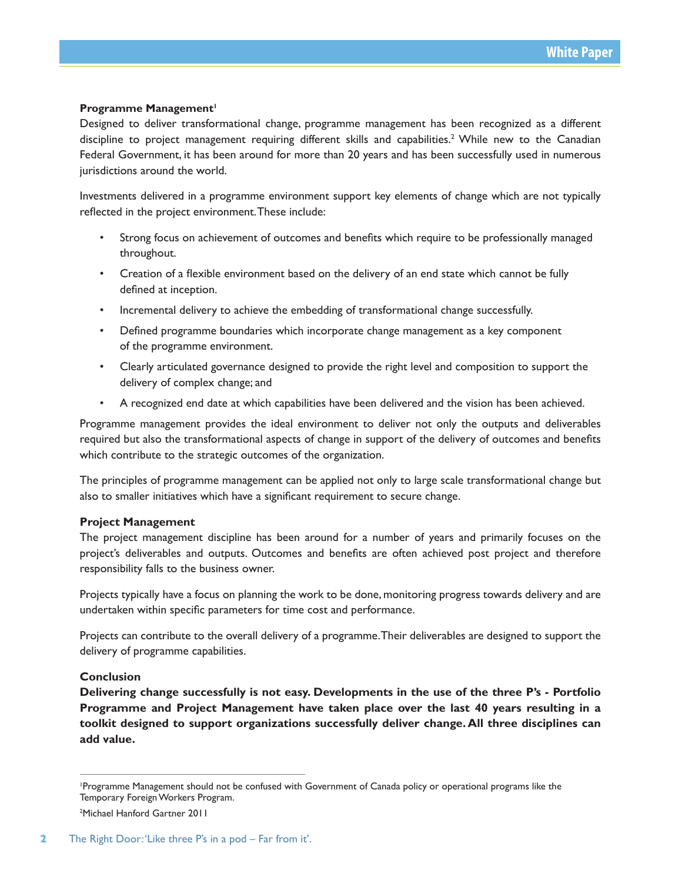#### **Programme Management<sup>1</sup>**

Designed to deliver transformational change, programme management has been recognized as a different discipline to project management requiring different skills and capabilities.<sup>2</sup> While new to the Canadian Federal Government, it has been around for more than 20 years and has been successfully used in numerous jurisdictions around the world.

Investments delivered in a programme environment support key elements of change which are not typically reflected in the project environment. These include:

- Strong focus on achievement of outcomes and benefits which require to be professionally managed throughout.
- Creation of a flexible environment based on the delivery of an end state which cannot be fully defined at inception.
- Incremental delivery to achieve the embedding of transformational change successfully.
- Defined programme boundaries which incorporate change management as a key component of the programme environment.
- Clearly articulated governance designed to provide the right level and composition to support the delivery of complex change; and
- A recognized end date at which capabilities have been delivered and the vision has been achieved.

Programme management provides the ideal environment to deliver not only the outputs and deliverables required but also the transformational aspects of change in support of the delivery of outcomes and benefits which contribute to the strategic outcomes of the organization.

The principles of programme management can be applied not only to large scale transformational change but also to smaller initiatives which have a significant requirement to secure change.

#### **Project Management**

The project management discipline has been around for a number of years and primarily focuses on the project's deliverables and outputs. Outcomes and benefits are often achieved post project and therefore responsibility falls to the business owner.

Projects typically have a focus on planning the work to be done, monitoring progress towards delivery and are undertaken within specific parameters for time cost and performance.

Projects can contribute to the overall delivery of a programme. Their deliverables are designed to support the delivery of programme capabilities.

#### **Conclusion**

**Delivering change successfully is not easy. Developments in the use of the three P's - Portfolio Programme and Project Management have taken place over the last 40 years resulting in a toolkit designed to support organizations successfully deliver change. All three disciplines can add value.**

<sup>1</sup> Programme Management should not be confused with Government of Canada policy or operational programs like the Temporary Foreign Workers Program.

<sup>2</sup> Michael Hanford Gartner 2011